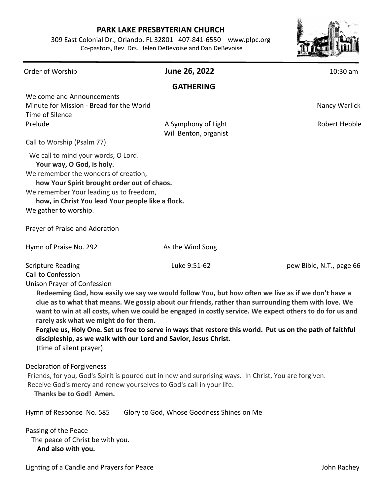## **PARK LAKE PRESBYTERIAN CHURCH**

309 East Colonial Dr., Orlando, FL 32801 407-841-6550 www.plpc.org Co-pastors, Rev. Drs. Helen DeBevoise and Dan DeBevoise



| Order of Worship                                                                                                                                                                                                                                                                 | June 26, 2022                                                                                                                                                                                                                                                                                                                                                                                                                                                                                                         | 10:30 am                 |
|----------------------------------------------------------------------------------------------------------------------------------------------------------------------------------------------------------------------------------------------------------------------------------|-----------------------------------------------------------------------------------------------------------------------------------------------------------------------------------------------------------------------------------------------------------------------------------------------------------------------------------------------------------------------------------------------------------------------------------------------------------------------------------------------------------------------|--------------------------|
|                                                                                                                                                                                                                                                                                  | <b>GATHERING</b>                                                                                                                                                                                                                                                                                                                                                                                                                                                                                                      |                          |
| <b>Welcome and Announcements</b><br>Minute for Mission - Bread for the World<br>Time of Silence                                                                                                                                                                                  |                                                                                                                                                                                                                                                                                                                                                                                                                                                                                                                       | Nancy Warlick            |
| Prelude                                                                                                                                                                                                                                                                          | A Symphony of Light<br>Will Benton, organist                                                                                                                                                                                                                                                                                                                                                                                                                                                                          | Robert Hebble            |
| Call to Worship (Psalm 77)                                                                                                                                                                                                                                                       |                                                                                                                                                                                                                                                                                                                                                                                                                                                                                                                       |                          |
| We call to mind your words, O Lord.<br>Your way, O God, is holy.<br>We remember the wonders of creation,<br>how Your Spirit brought order out of chaos.<br>We remember Your leading us to freedom,<br>how, in Christ You lead Your people like a flock.<br>We gather to worship. |                                                                                                                                                                                                                                                                                                                                                                                                                                                                                                                       |                          |
| Prayer of Praise and Adoration                                                                                                                                                                                                                                                   |                                                                                                                                                                                                                                                                                                                                                                                                                                                                                                                       |                          |
| Hymn of Praise No. 292                                                                                                                                                                                                                                                           | As the Wind Song                                                                                                                                                                                                                                                                                                                                                                                                                                                                                                      |                          |
| <b>Scripture Reading</b><br>Call to Confession<br><b>Unison Prayer of Confession</b><br>rarely ask what we might do for them.<br>(time of silent prayer)                                                                                                                         | Luke 9:51-62<br>Redeeming God, how easily we say we would follow You, but how often we live as if we don't have a<br>clue as to what that means. We gossip about our friends, rather than surrounding them with love. We<br>want to win at all costs, when we could be engaged in costly service. We expect others to do for us and<br>Forgive us, Holy One. Set us free to serve in ways that restore this world. Put us on the path of faithful<br>discipleship, as we walk with our Lord and Savior, Jesus Christ. | pew Bible, N.T., page 66 |
| <b>Declaration of Forgiveness</b><br>Thanks be to God! Amen.                                                                                                                                                                                                                     | Friends, for you, God's Spirit is poured out in new and surprising ways. In Christ, You are forgiven.<br>Receive God's mercy and renew yourselves to God's call in your life.                                                                                                                                                                                                                                                                                                                                         |                          |
| Hymn of Response No. 585                                                                                                                                                                                                                                                         | Glory to God, Whose Goodness Shines on Me                                                                                                                                                                                                                                                                                                                                                                                                                                                                             |                          |
| Passing of the Peace<br>The peace of Christ be with you.<br>And also with you.                                                                                                                                                                                                   |                                                                                                                                                                                                                                                                                                                                                                                                                                                                                                                       |                          |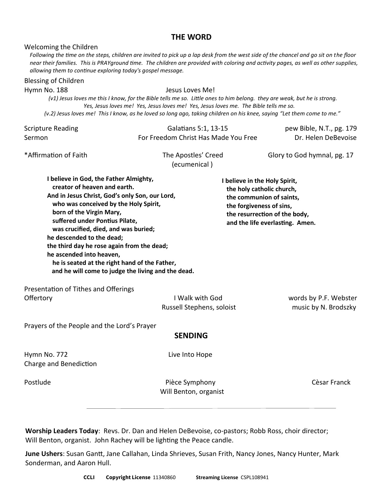## **THE WORD**

Welcoming the Children

*Following the time on the steps, children are invited to pick up a lap desk from the west side of the chancel and go sit on the floor near their families. This is PRAYground time. The children are provided with coloring and activity pages, as well as other supplies, allowing them to continue exploring today's gospel message.*

## Scripture Reading Galatians 5:1, 13-15 pew Bible, N.T., pg. 179 Blessing of Children Hymn No. 188 **Jesus Loves Me!**  *(v1) Jesus loves me this I know, for the Bible tells me so. Little ones to him belong. they are weak, but he is strong. Yes, Jesus loves me! Yes, Jesus loves me! Yes, Jesus loves me. The Bible tells me so. (v.2) Jesus loves me! This I know, as he loved so long ago, taking children on his knee, saying "Let them come to me."*

| Sermon                                                                                                                                                                                                                                                                                                                                                                                                                                                                                | For Freedom Christ Has Made You Free         | Dr. Helen DeBevoise                                                                                                                                                                    |
|---------------------------------------------------------------------------------------------------------------------------------------------------------------------------------------------------------------------------------------------------------------------------------------------------------------------------------------------------------------------------------------------------------------------------------------------------------------------------------------|----------------------------------------------|----------------------------------------------------------------------------------------------------------------------------------------------------------------------------------------|
| *Affirmation of Faith                                                                                                                                                                                                                                                                                                                                                                                                                                                                 | The Apostles' Creed<br>(ecumenical)          | Glory to God hymnal, pg. 17                                                                                                                                                            |
| I believe in God, the Father Almighty,<br>creator of heaven and earth.<br>And in Jesus Christ, God's only Son, our Lord,<br>who was conceived by the Holy Spirit,<br>born of the Virgin Mary,<br>suffered under Pontius Pilate,<br>was crucified, died, and was buried;<br>he descended to the dead;<br>the third day he rose again from the dead;<br>he ascended into heaven,<br>he is seated at the right hand of the Father,<br>and he will come to judge the living and the dead. |                                              | I believe in the Holy Spirit,<br>the holy catholic church,<br>the communion of saints,<br>the forgiveness of sins,<br>the resurrection of the body,<br>and the life everlasting. Amen. |
| Presentation of Tithes and Offerings<br>Offertory                                                                                                                                                                                                                                                                                                                                                                                                                                     | I Walk with God<br>Russell Stephens, soloist | words by P.F. Webster<br>music by N. Brodszky                                                                                                                                          |
| Prayers of the People and the Lord's Prayer                                                                                                                                                                                                                                                                                                                                                                                                                                           | <b>SENDING</b>                               |                                                                                                                                                                                        |
| Hymn No. 772<br>Charge and Benediction                                                                                                                                                                                                                                                                                                                                                                                                                                                | Live Into Hope                               |                                                                                                                                                                                        |
| Postlude                                                                                                                                                                                                                                                                                                                                                                                                                                                                              | Pièce Symphony<br>Will Benton, organist      | Cèsar Franck                                                                                                                                                                           |

**Worship Leaders Today**: Revs. Dr. Dan and Helen DeBevoise, co-pastors; Robb Ross, choir director; Will Benton, organist. John Rachey will be lighting the Peace candle.

**June Ushers**: Susan Gantt, Jane Callahan, Linda Shrieves, Susan Frith, Nancy Jones, Nancy Hunter, Mark Sonderman, and Aaron Hull.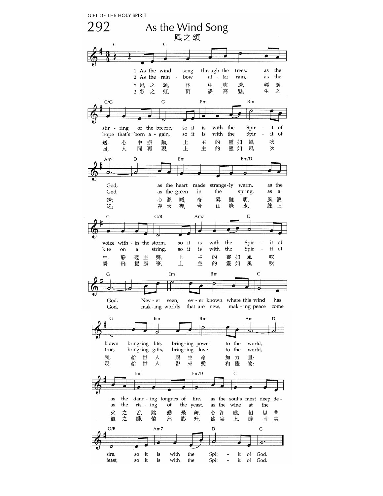**GIFT OF THE HOLY SPIRIT** 

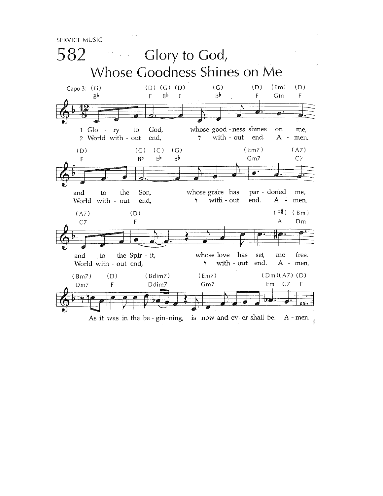**SERVICE MUSIC**